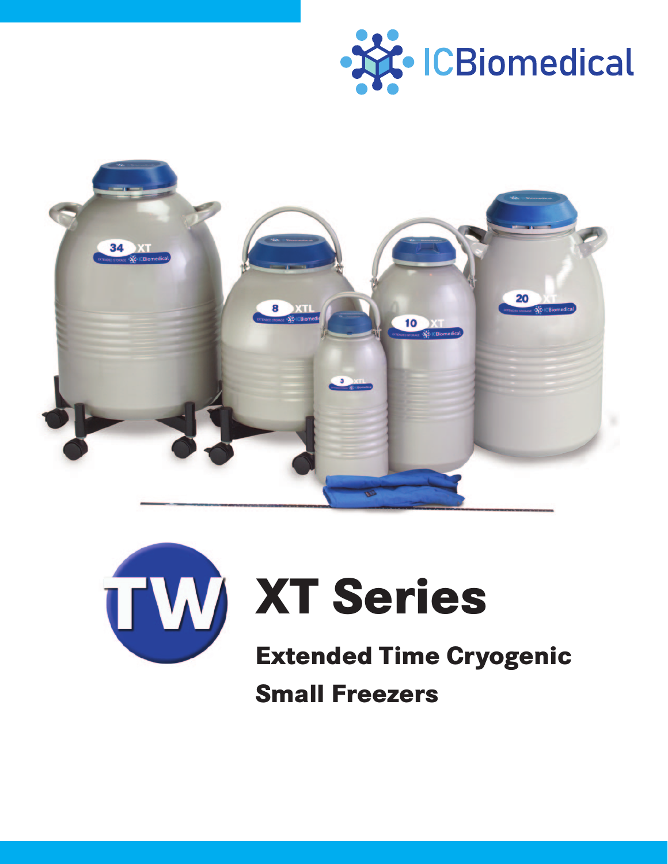





# **XT Series**

**Extended Time Cryogenic Small Freezers**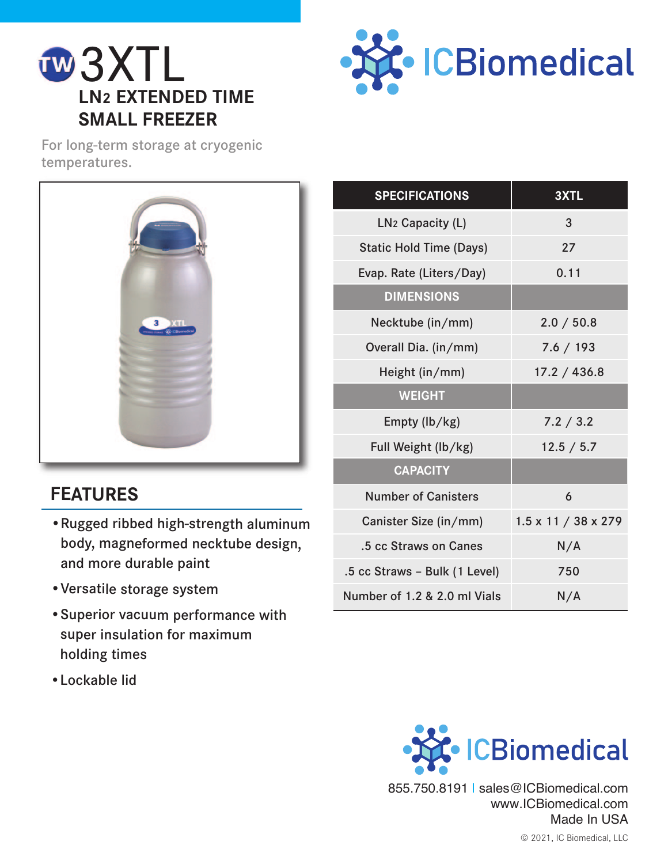





## **FEATURES**

- •Rugged ribbed high-strength aluminum body, magneformed necktube design, and more durable paint
- •Versatile storage system
- •Superior vacuum performance with super insulation for maximum holding times
- •Lockable lid

| <b>SPECIFICATIONS</b>          | 3XTL                            |
|--------------------------------|---------------------------------|
| LN <sub>2</sub> Capacity (L)   | 3                               |
| <b>Static Hold Time (Days)</b> | 27                              |
| Evap. Rate (Liters/Day)        | 0.11                            |
| <b>DIMENSIONS</b>              |                                 |
| Necktube (in/mm)               | 2.0 / 50.8                      |
| Overall Dia. (in/mm)           | 7.6 / 193                       |
| Height (in/mm)                 | 17.2 / 436.8                    |
| <b>WEIGHT</b>                  |                                 |
| Empty (lb/kg)                  | 7.2 / 3.2                       |
| Full Weight (lb/kg)            | 12.5 / 5.7                      |
| <b>CAPACITY</b>                |                                 |
| <b>Number of Canisters</b>     | 6                               |
| Canister Size (in/mm)          | $1.5 \times 11 / 38 \times 279$ |
| .5 cc Straws on Canes          | N/A                             |
| .5 cc Straws - Bulk (1 Level)  | 750                             |
| Number of 1.2 & 2.0 ml Vials   | N/A                             |



855.750.8191 | sales@ICBiomedical.com www.ICBiomedical.com Made In USA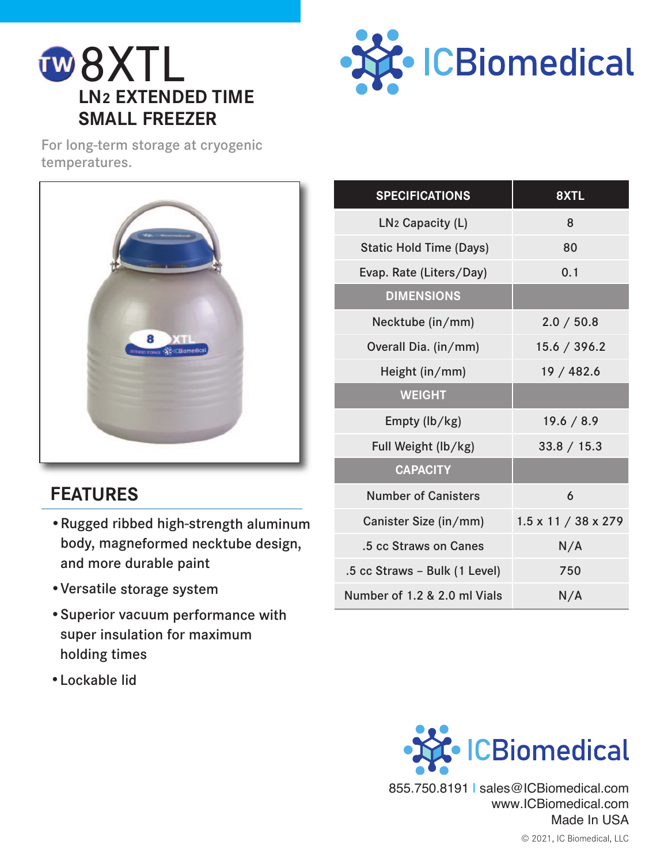





### **FEATURES**

- •Rugged ribbed high-strength aluminum body, magneformed necktube design, and more durable paint
- •Versatile storage system
- •Superior vacuum performance with super insulation for maximum holding times
- •Lockable lid

| <b>SPECIFICATIONS</b>          | 8XTL                            |
|--------------------------------|---------------------------------|
| LN <sub>2</sub> Capacity (L)   | 8                               |
| <b>Static Hold Time (Days)</b> | 80                              |
| Evap. Rate (Liters/Day)        | 0.1                             |
| <b>DIMENSIONS</b>              |                                 |
| Necktube (in/mm)               | 2.0 / 50.8                      |
| Overall Dia. (in/mm)           | 15.6 / 396.2                    |
| Height (in/mm)                 | 19 / 482.6                      |
| <b>WEIGHT</b>                  |                                 |
| Empty (lb/kg)                  | 19.6 / 8.9                      |
| Full Weight (lb/kg)            | 33.8 / 15.3                     |
| <b>CAPACITY</b>                |                                 |
| <b>Number of Canisters</b>     | 6                               |
| Canister Size (in/mm)          | $1.5 \times 11 / 38 \times 279$ |
| .5 cc Straws on Canes          | N/A                             |
| .5 cc Straws - Bulk (1 Level)  | 750                             |
| Number of 1.2 & 2.0 ml Vials   | N/A                             |



855.750.8191 | sales@ICBiomedical.com www.ICBiomedical.com Made In USA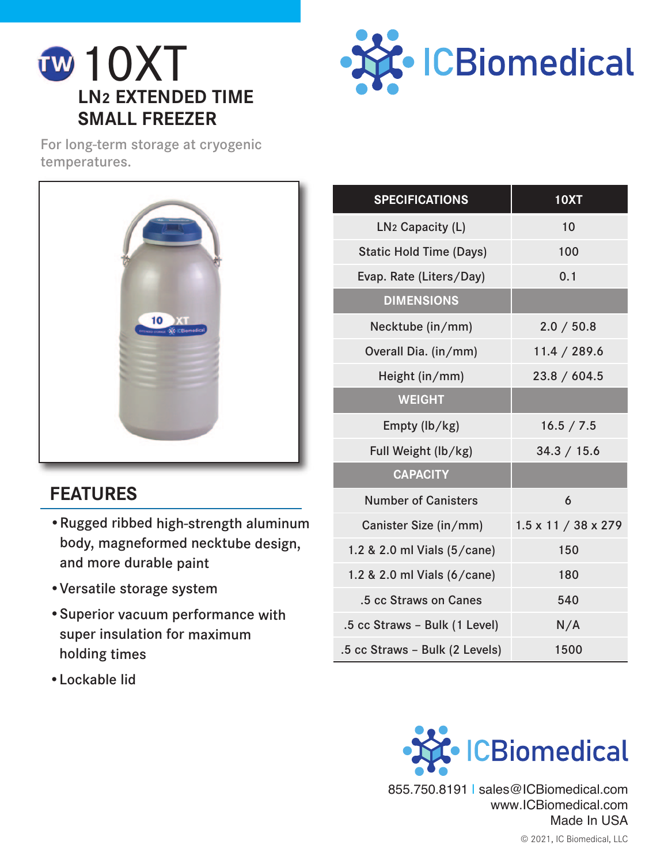





## **FEATURES**

- •Rugged ribbed high-strength aluminum body, magneformed necktube design, and more durable paint
- •Versatile storage system
- •Superior vacuum performance with super insulation for maximum holding times
- •Lockable lid

| <b>SPECIFICATIONS</b>          | <b>10XT</b>                     |
|--------------------------------|---------------------------------|
| LN <sub>2</sub> Capacity (L)   | 10                              |
| <b>Static Hold Time (Days)</b> | 100                             |
| Evap. Rate (Liters/Day)        | 0.1                             |
| <b>DIMENSIONS</b>              |                                 |
| Necktube (in/mm)               | 2.0 / 50.8                      |
| Overall Dia. (in/mm)           | 11.4 / 289.6                    |
| Height (in/mm)                 | 23.8 / 604.5                    |
| <b>WEIGHT</b>                  |                                 |
| Empty (lb/kg)                  | 16.5 / 7.5                      |
| Full Weight (lb/kg)            | 34.3 / 15.6                     |
| <b>CAPACITY</b>                |                                 |
| <b>Number of Canisters</b>     | 6                               |
| Canister Size (in/mm)          | $1.5 \times 11 / 38 \times 279$ |
| 1.2 & 2.0 ml Vials (5/cane)    | 150                             |
| 1.2 & 2.0 ml Vials (6/cane)    | 180                             |
| .5 cc Straws on Canes          | 540                             |
| .5 cc Straws - Bulk (1 Level)  | N/A                             |
| .5 cc Straws - Bulk (2 Levels) | 1500                            |



© 2021, IC Biomedical, LLC 855.750.8191 | sales@ICBiomedical.com www.ICBiomedical.com Made In USA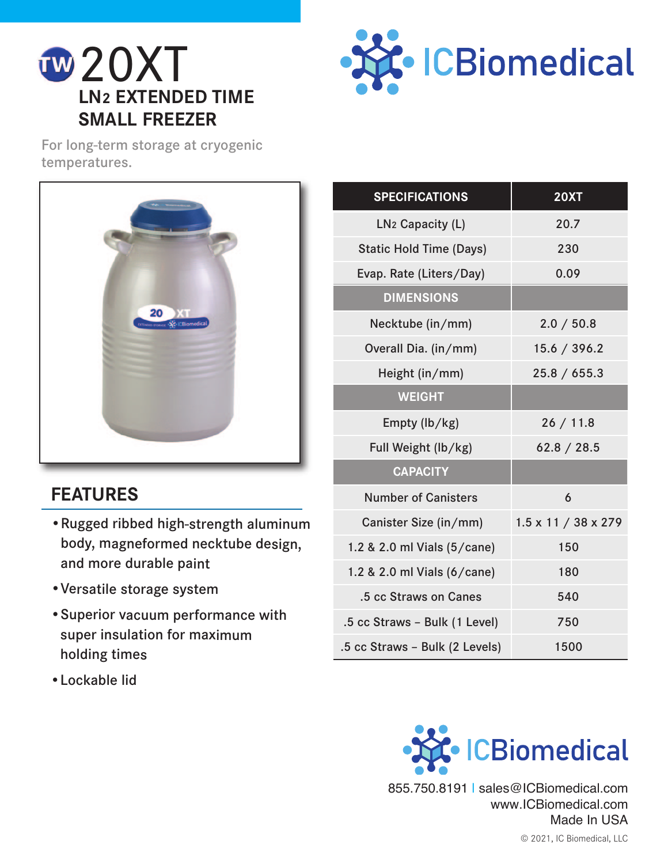





## **FEATURES**

- •Rugged ribbed high-strength aluminum body, magneformed necktube design, and more durable paint
- •Versatile storage system
- •Superior vacuum performance with super insulation for maximum holding times
- •Lockable lid

| <b>SPECIFICATIONS</b>          | <b>20XT</b>                     |
|--------------------------------|---------------------------------|
| LN <sub>2</sub> Capacity (L)   | 20.7                            |
| <b>Static Hold Time (Days)</b> | 230                             |
| Evap. Rate (Liters/Day)        | 0.09                            |
| <b>DIMENSIONS</b>              |                                 |
| Necktube (in/mm)               | 2.0 / 50.8                      |
| Overall Dia. (in/mm)           | 15.6 / 396.2                    |
| Height (in/mm)                 | 25.8 / 655.3                    |
| <b>WEIGHT</b>                  |                                 |
| Empty (lb/kg)                  | 26/11.8                         |
| Full Weight (lb/kg)            | 62.8 / 28.5                     |
| <b>CAPACITY</b>                |                                 |
| <b>Number of Canisters</b>     | 6                               |
| Canister Size (in/mm)          | $1.5 \times 11 / 38 \times 279$ |
| 1.2 & 2.0 ml Vials (5/cane)    | 150                             |
| 1.2 & 2.0 ml Vials (6/cane)    | 180                             |
| .5 cc Straws on Canes          | 540                             |
| .5 cc Straws - Bulk (1 Level)  | 750                             |
| .5 cc Straws - Bulk (2 Levels) | 1500                            |

![](_page_4_Picture_10.jpeg)

855.750.8191 | sales@ICBiomedical.com www.ICBiomedical.com Made In USA